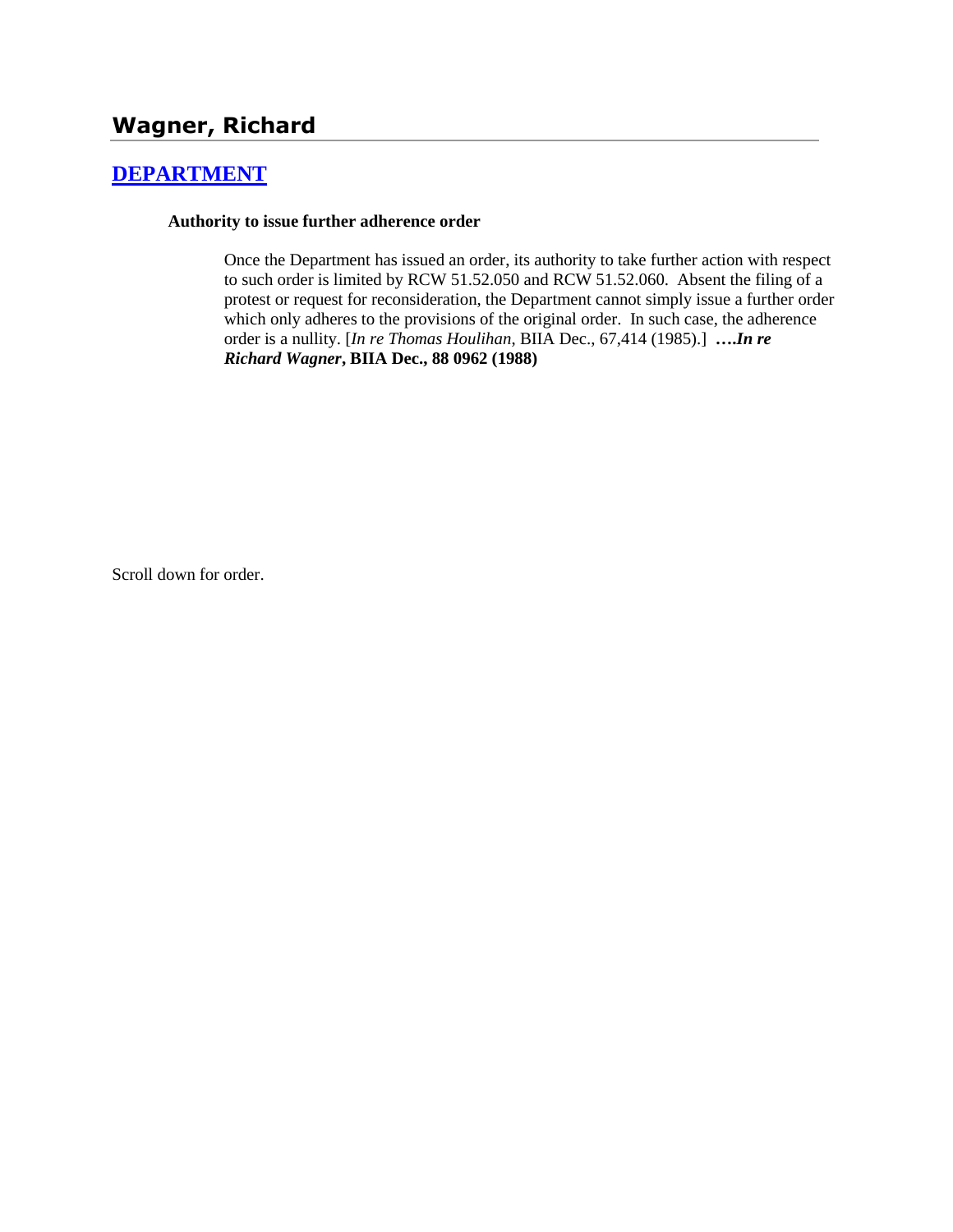# **Wagner, Richard**

## **[DEPARTMENT](http://www.biia.wa.gov/SDSubjectIndex.html#DEPARTMENT)**

### **Authority to issue further adherence order**

Once the Department has issued an order, its authority to take further action with respect to such order is limited by RCW 51.52.050 and RCW 51.52.060. Absent the filing of a protest or request for reconsideration, the Department cannot simply issue a further order which only adheres to the provisions of the original order. In such case, the adherence order is a nullity. [*In re Thomas Houlihan*, BIIA Dec., [67,414](http://www.biia.wa.gov/significantdecisions/67414.htm) (1985).] **….***In re Richard Wagner***, BIIA Dec., 88 0962 (1988)** 

Scroll down for order.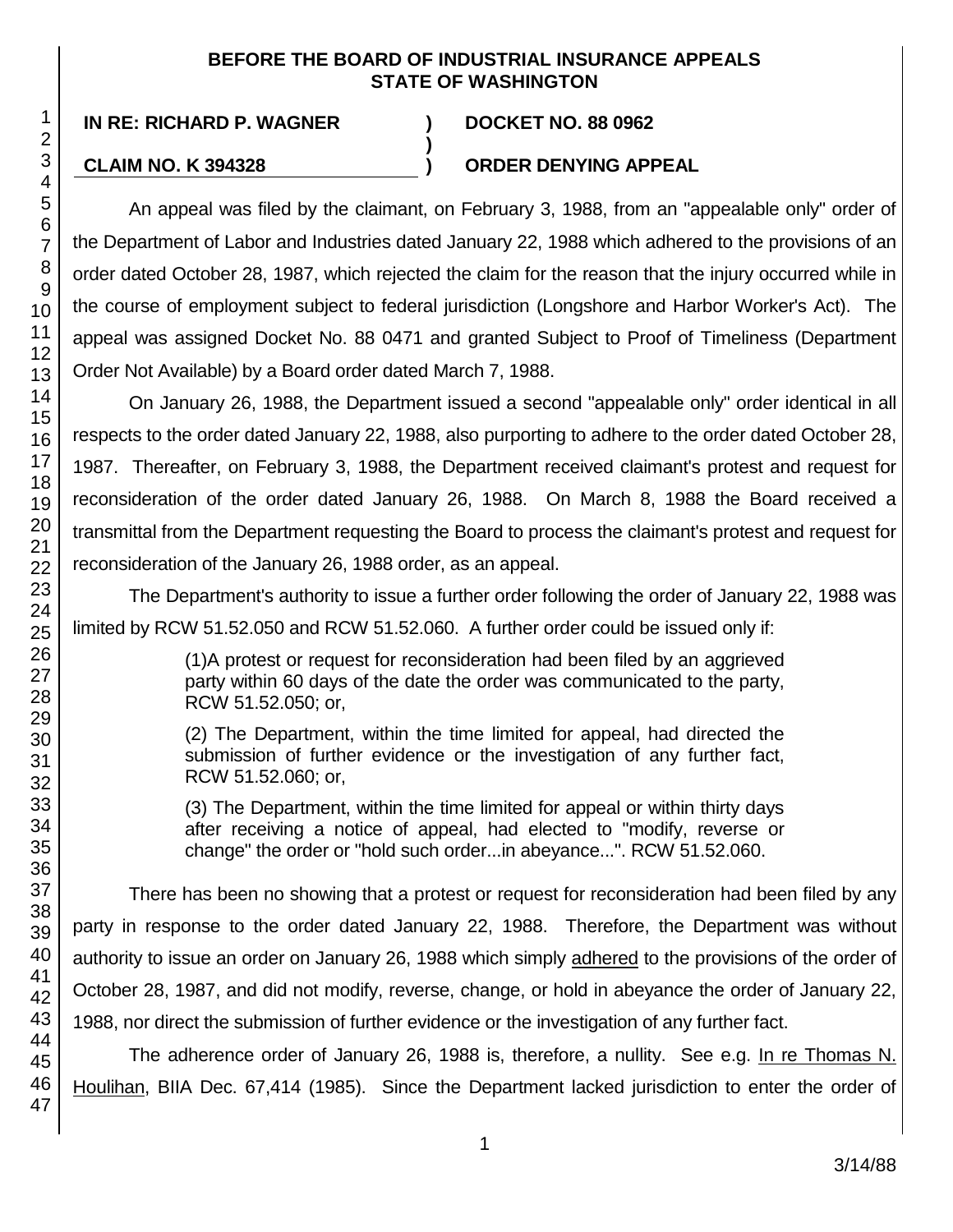### **BEFORE THE BOARD OF INDUSTRIAL INSURANCE APPEALS STATE OF WASHINGTON**

**)**

47

### **IN RE: RICHARD P. WAGNER ) DOCKET NO. 88 0962**

### **CLAIM NO. K 394328 ) ORDER DENYING APPEAL**

An appeal was filed by the claimant, on February 3, 1988, from an "appealable only" order of the Department of Labor and Industries dated January 22, 1988 which adhered to the provisions of an order dated October 28, 1987, which rejected the claim for the reason that the injury occurred while in the course of employment subject to federal jurisdiction (Longshore and Harbor Worker's Act). The appeal was assigned Docket No. 88 0471 and granted Subject to Proof of Timeliness (Department Order Not Available) by a Board order dated March 7, 1988.

On January 26, 1988, the Department issued a second "appealable only" order identical in all respects to the order dated January 22, 1988, also purporting to adhere to the order dated October 28, 1987. Thereafter, on February 3, 1988, the Department received claimant's protest and request for reconsideration of the order dated January 26, 1988. On March 8, 1988 the Board received a transmittal from the Department requesting the Board to process the claimant's protest and request for reconsideration of the January 26, 1988 order, as an appeal.

The Department's authority to issue a further order following the order of January 22, 1988 was limited by RCW 51.52.050 and RCW 51.52.060. A further order could be issued only if:

> (1)A protest or request for reconsideration had been filed by an aggrieved party within 60 days of the date the order was communicated to the party, RCW 51.52.050; or,

> (2) The Department, within the time limited for appeal, had directed the submission of further evidence or the investigation of any further fact, RCW 51.52.060; or,

> (3) The Department, within the time limited for appeal or within thirty days after receiving a notice of appeal, had elected to "modify, reverse or change" the order or "hold such order...in abeyance...". RCW 51.52.060.

There has been no showing that a protest or request for reconsideration had been filed by any party in response to the order dated January 22, 1988. Therefore, the Department was without authority to issue an order on January 26, 1988 which simply adhered to the provisions of the order of October 28, 1987, and did not modify, reverse, change, or hold in abeyance the order of January 22, 1988, nor direct the submission of further evidence or the investigation of any further fact.

The adherence order of January 26, 1988 is, therefore, a nullity. See e.g. In re Thomas N. Houlihan, BIIA Dec. 67,414 (1985). Since the Department lacked jurisdiction to enter the order of